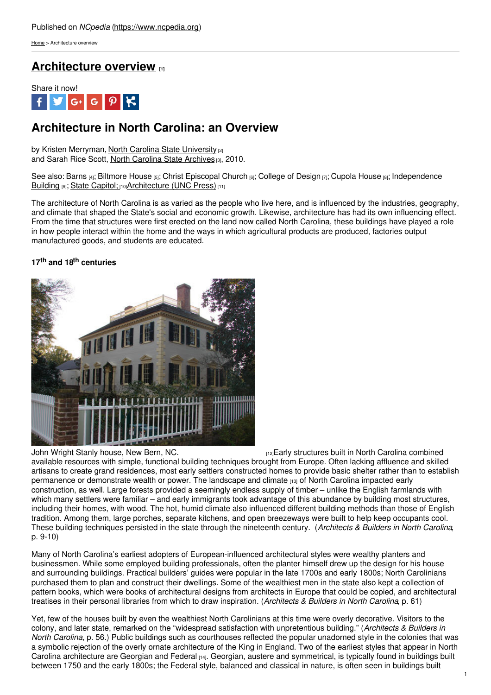[Home](https://www.ncpedia.org/) > Architecture overview

# **[Architecture](https://www.ncpedia.org/architecture-overview) overview [1]**



# **Architecture in North Carolina: an Overview**

by Kristen Merryman, North Carolina State [University](https://www.ncsu.edu) [2] and Sarah Rice Scott, North [Carolina](https://archives.ncdcr.gov) State Archives [3], 2010.

See also: [Barns](https://ncpedia.org/barns) [4]; [Biltmore](https://ncpedia.org/biltmore-house) House [5]; Christ [Episcopal](https://ncpedia.org/christ-episcopal-church) Church [6]; [College](https://www.ncpedia.org/college-design) of Design [7]; [Cupola](https://www.ncpedia.org/cupola-house) House [8]; [Independence](https://ncpedia.org/independence-building) Building [9]; State [Capitol;](https://ncpedia.org/state-capitol) [10][Architecture](https://www.ncpedia.org/architecture) (UNC Press) [11]

The architecture of North Carolina is as varied as the people who live here, and is influenced by the industries, geography, and climate that shaped the State's social and economic growth. Likewise, architecture has had its own influencing effect. From the time that structures were first [erected](http://www.social9.com) on the land now called North Carolina, these buildings have played a role in how people interact within the home and the ways in which agricultural products are produced, factories output manufactured goods, and students are educated.

## **17 th and 18 th centuries**



John Wright Stanly [house,](https://en.wikipedia.org/wiki/File:NewBernHouse1.JPG) New Bern, NC. *Inamagera Caroly structures built in North Carolina combined* available resources with simple, functional building techniques brought from Europe. Often lacking affluence and skilled artisans to create grand residences, most early settlers constructed homes to provide basic shelter rather than to establish permanence or demonstrate wealth or power. The landscape and [climate](https://www.ncpedia.org/climate-and-weather-0) [13] of North Carolina impacted early construction, as well. Large forests provided a seemingly endless supply of timber – unlike the English farmlands with which many settlers were familiar – and early immigrants took advantage of this abundance by building most structures, including their homes, with wood. The hot, humid climate also influenced different building methods than those of English tradition. Among them, large porches, separate kitchens, and open breezeways were built to help keep occupants cool. These building techniques persisted in the state through the nineteenth century. (*Architects & Builders in North Carolina*, p. 9-10)

Many of North Carolina's earliest adopters of European-influenced architectural styles were wealthy planters and businessmen. While some employed building professionals, often the planter himself drew up the design for his house and surrounding buildings. Practical builders' guides were popular in the late 1700s and early 1800s; North Carolinians purchased them to plan and construct their dwellings. Some of the wealthiest men in the state also kept a collection of pattern books, which were books of architectural designs from architects in Europe that could be copied, and architectural treatises in their personal libraries from which to draw inspiration. (*Architects & Builders in North Carolina*, p. 61)

Yet, few of the houses built by even the wealthiest North Carolinians at this time were overly decorative. Visitors to the colony, and later state, remarked on the "widespread satisfaction with unpretentious building." (*Architects & Builders in North Carolina*, p. 56.) Public buildings such as courthouses reflected the popular unadorned style in the colonies that was a symbolic rejection of the overly ornate architecture of the King in England. Two of the earliest styles that appear in North Carolina architecture are [Georgian](http://www.lib.ncsu.edu/specialcollections/builtheritage/timeline/stylestimeline.php) and Federal [14]. Georgian, austere and symmetrical, is typically found in buildings built between 1750 and the early 1800s; the Federal style, balanced and classical in nature, is often seen in buildings built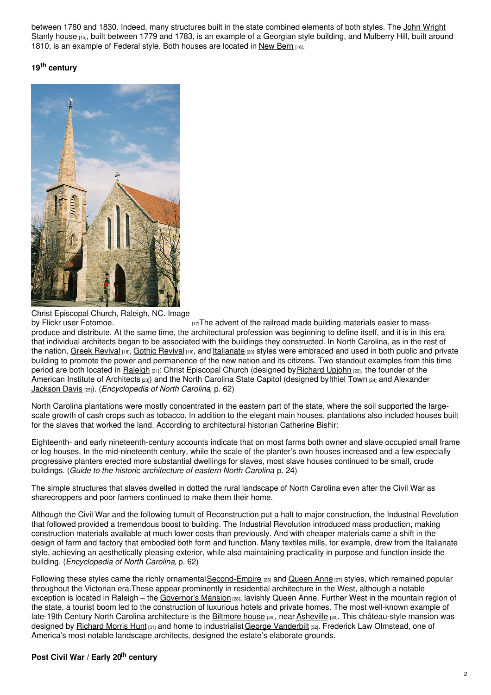between 1780 and 1830. Indeed, many [structures](https://www.ncpedia.org/biography/stanly-john-wright) built in the state combined elements of both styles. The John Wright Stanly house [15], built between 1779 and 1783, is an example of a Georgian style building, and Mulberry Hill, built around 1810, is an example of Federal style. Both houses are located in New [Bern](https://www.newbernnc.gov/) [16].

## **19 th century**



Christ Episcopal Church, Raleigh, NC. Image

 $H_1$ <sub> $H_2$ </sub>The advent of the railroad made building materials easier to massproduce and distribute. At the same time, the architectural profession was beginning to define itself, and it is in this era that individual architects began to be associated with the buildings they constructed. In North Carolina, as in the rest of the nation, Greek [Revival](http://www.lib.ncsu.edu/specialcollections/builtheritage/timeline/stylestimeline.php#gothicRevival) [18], Gothic Revival [19], and *[Italianate](http://www.lib.ncsu.edu/specialcollections/builtheritage/timeline/stylestimeline.php#italianate)* [20] styles were embraced and used in both public and private building to promote the power and permanence of the new nation and its citizens. Two standout examples from this time period are both located in [Raleigh](https://www.ncpedia.org/geography/raleigh) [21]: Christ Episcopal Church (designed by [Richard](https://ncarchitects.lib.ncsu.edu/people/P000090) Upjohn [22], the founder of the American Institute of [Architects](http://www.aia.org/) [23]) and the North Carolina State Capitol (designed by Ithiel [Town](https://ncarchitects.lib.ncsu.edu/people/P000032) [24] and Alexander Jackson Davis [25]). (*[Encyclopedia](https://www.ncpedia.org/biography/davis-alexander-jackson) of North Carolina*, p. 62)

North Carolina plantations were mostly concentrated in the eastern part of the state, where the soil supported the largescale growth of cash crops such as tobacco. In addition to the elegant main houses, plantations also included houses built for the slaves that worked the land. According to architectural historian Catherine Bishir:

Eighteenth- and early nineteenth-century accounts indicate that on most farms both owner and slave occupied small frame or log houses. In the mid-nineteenth century, while the scale of the planter's own houses increased and a few especially progressive planters erected more substantial dwellings for slaves, most slave houses continued to be small, crude buildings. (*Guide to the historic architecture of eastern North Carolina*, p. 24)

The simple structures that slaves dwelled in dotted the rural landscape of North Carolina even after the Civil War as sharecroppers and poor farmers continued to make them their home.

Although the Civil War and the following tumult of Reconstruction put a halt to major construction, the Industrial Revolution that followed provided a tremendous boost to building. The Industrial Revolution introduced mass production, making construction materials available at much lower costs than previously. And with cheaper materials came a shift in the design of farm and factory that embodied both form and function. Many textiles mills, for example, drew from the Italianate style, achieving an aesthetically pleasing exterior, while also maintaining practicality in purpose and function inside the building. (*Encyclopedia of North Carolina*, p. 62)

Following these styles came the richly ornamental [Second-Empire](http://www.lib.ncsu.edu/specialcollections/builtheritage/timeline/stylestimeline.php#secondEmpire) [26] and [Queen](http://www.lib.ncsu.edu/specialcollections/builtheritage/timeline/stylestimeline.php#queenAnne) Anne [27] styles, which remained popular throughout the Victorian era.These appear prominently in residential architecture in the West, although a notable exception is located in Raleigh – the [Governor's](https://historicsites.nc.gov/all-sites/n-c-state-capitol/north-carolina-executive-mansion) Mansion [28], lavishly Queen Anne. Further West in the mountain region of the state, a tourist boom led to the construction of luxurious hotels and private homes. The most well-known example of late-19th Century North Carolina architecture is the [Biltmore](https://www.biltmore.com/) house [29], near [Asheville](https://www.ncpedia.org/geography/asheville) [30]. This château-style mansion was designed by [Richard](https://ncarchitects.lib.ncsu.edu/people/P000278) Morris Hunt [31] and home to industrialist George [Vanderbilt](https://www.biltmore.com/our-story/) [32]. Frederick Law Olmstead, one of America's most notable landscape architects, designed the estate's elaborate grounds.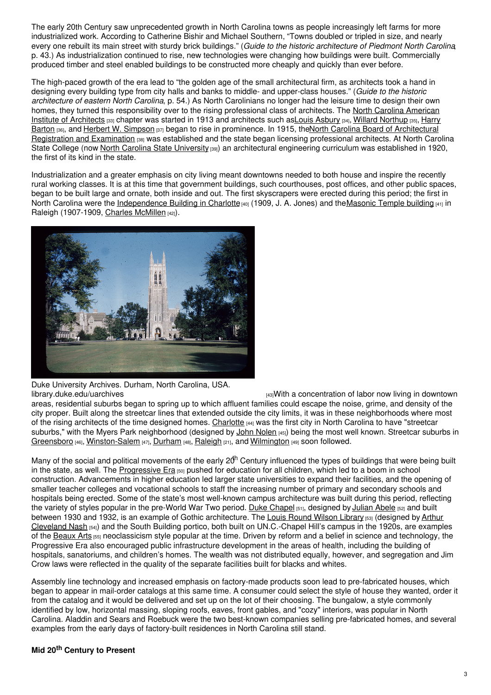The early 20th Century saw unprecedented growth in North Carolina towns as people increasingly left farms for more industrialized work. According to Catherine Bishir and Michael Southern, "Towns doubled or tripled in size, and nearly every one rebuilt its main street with sturdy brick buildings." (*Guide to the historic architecture of Piedmont North Carolina*, p. 43.) As industrialization continued to rise, new technologies were changing how buildings were built. Commercially produced timber and steel enabled buildings to be constructed more cheaply and quickly than ever before.

The high-paced growth of the era lead to "the golden age of the small architectural firm, as architects took a hand in designing every building type from city halls and banks to middle- and upper-class houses." (*Guide to the historic architecture of eastern North Carolina*, p. 54.) As North Carolinians no longer had the leisure time to design their own homes, they turned this [responsibility](https://www.aia.org/northcarolina) over to the rising professional class of architects. The North Carolina American Institute of Architects [33] chapter was started in 1913 and architects such as Louis [Asbury](https://ncarchitects.lib.ncsu.edu/people/P000449) [34], Willard [Northup](https://ncarchitects.lib.ncsu.edu/people/P000213) [35], Harry Barton [36], and Herbert W. [Simpson](https://ncarchitects.lib.ncsu.edu/people/P000239) [37] began to rise in [prominence.](http://www.ncbarch.org/) In 1915, theNorth Carolina Board of [Architectural](https://ncarchitects.lib.ncsu.edu/people/P000057) Registration and Examination [38] was established and the state began licensing professional architects. At North Carolina State College (now North Carolina State [University](https://www.ncpedia.org/winston-salem-state-university) [39]) an architectural engineering curriculum was established in 1920, the first of its kind in the state.

Industrialization and a greater emphasis on city living meant downtowns needed to both house and inspire the recently rural working classes. It is at this time that government buildings, such courthouses, post offices, and other public spaces, began to be built large and ornate, both inside and out. The first skyscrapers were erected during this period; the first in North Carolina were the [Independence](http://cdm15483.contentdm.oclc.org/u?/p15483coll1,92) Building in Charlotte [40] (1909, J. A. Jones) and the Masonic Temple building [41] in Raleigh (1907-1909, Charles [McMillen](https://ncarchitects.lib.ncsu.edu/people/P000314) [42]).



Duke University Archives. Durham, North Carolina, USA.

[library.duke.edu/uarchives](https://www.flickr.com/photos/dukeyearlook/3399137218/) **[43]With a concentration of labor now living in downtown** areas, residential suburbs began to spring up to which affluent families could escape the noise, grime, and density of the city proper. Built along the streetcar lines that extended outside the city limits, it was in these neighborhoods where most of the rising architects of the time designed homes. [Charlotte](https://www.ncpedia.org/geography/charlotte) [44] was the first city in North Carolina to have "streetcar suburbs," with the Myers Park neighborhood (designed by John [Nolen](https://www.mpha.com/myers-park-streetcar-waiting-stations-1891/) [45]) being the most well known. Streetcar suburbs in [Greensboro](https://www.ncpedia.org/greensboro-0) [46], [Winston-Salem](https://www.ncpedia.org/geography/winston-salem) [47], [Durham](https://www.ncpedia.org/geography/durham-city) [48], [Raleigh](https://www.ncpedia.org/geography/raleigh) [21], and [Wilmington](https://www.ncpedia.org/geography/wilmington) [49] soon followed.

Many of the social and political movements of the early 20<sup>th</sup> Century influenced the types of buildings that were being built in the state, as well. The [Progressive](https://www.nps.gov/articles/gilded-age-progressive-era-history-teaching-with-historic-places.htm) Era [50] pushed for education for all children, which led to a boom in school construction. Advancements in higher education led larger state universities to expand their facilities, and the opening of smaller teacher colleges and vocational schools to staff the increasing number of primary and secondary schools and hospitals being erected. Some of the state's most well-known campus architecture was built during this period, reflecting the variety of styles popular in the pre-World War Two period. Duke [Chapel](http://chapel.duke.edu/) [51], designed by [Julian](https://library.duke.edu/rubenstein/uarchives/history/articles/abele) Abele [52] and built between 1930 and 1932, is an example of Gothic architecture. The Louis Round [Wilson](https://library.unc.edu/wilson/) Library [53] (designed by Arthur Cleveland Nash [54]) and the South Building portico, both built on [UN.C.-Chapel](https://www.ncpedia.org/biography/nash-arthur-cleveland) Hill's campus in the 1920s, are examples of the [Beaux](http://www.lib.ncsu.edu/specialcollections/builtheritage/timeline/stylestimeline.php#beauxArts) Arts [55] neoclassicism style popular at the time. Driven by reform and a belief in science and technology, the Progressive Era also encouraged public infrastructure development in the areas of health, including the building of hospitals, sanatoriums, and children's homes. The wealth was not distributed equally, however, and segregation and Jim Crow laws were reflected in the quality of the separate facilities built for blacks and whites.

Assembly line technology and increased emphasis on factory-made products soon lead to pre-fabricated houses, which began to appear in mail-order catalogs at this same time. A consumer could select the style of house they wanted, order it from the catalog and it would be delivered and set up on the lot of their choosing. The bungalow, a style commonly identified by low, horizontal massing, sloping roofs, eaves, front gables, and "cozy" interiors, was popular in North Carolina. Aladdin and Sears and Roebuck were the two best-known companies selling pre-fabricated homes, and several examples from the early days of factory-built residences in North Carolina still stand.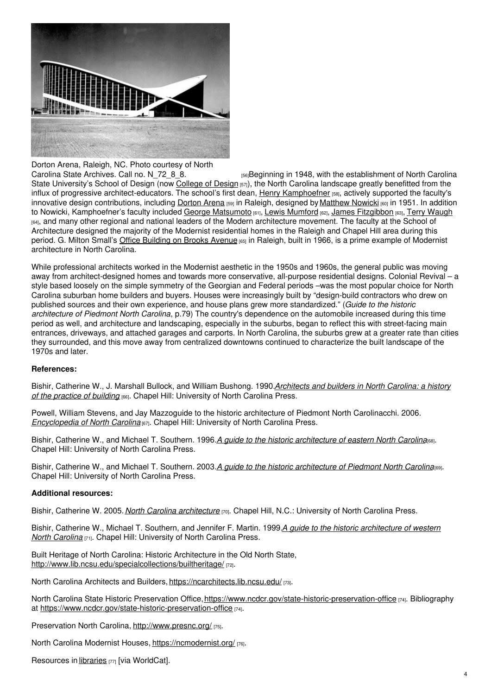

# Dorton Arena, Raleigh, NC. Photo courtesy of North Carolina State Archives. Call no. N 72 8 8.

 $F56$ Beginning in 1948, with the establishment of North Carolina State University's School of Design (now [College](https://design.ncsu.edu/) of Design [57]), the North Carolina landscape greatly benefitted from the influx of progressive architect-educators. The school's first dean, Henry [Kamphoefner](https://ncarchitects.lib.ncsu.edu/people/P000043) [58], actively supported the faculty's innovative design contributions, including [Dorton](https://www.ncstatefair.org/facilities/dorton.htm) Arena [59] in Raleigh, designed by [Matthew](https://www.ncpedia.org/biography/nowicki-matthew) Nowicki [60] in 1951. In addition to Nowicki, Kamphoefner's faculty included George [Matsumoto](https://usmodernist.org/matsumoto.htm) [61], Lewis [Mumford](http://library.monmouth.edu/main/content/lewis-mumford-collection-0) [62], James [Fitzgibbon](https://ncmodernist.org/fitzgibbon.htm) [63], Terry [Waugh](https://ncmodernist.org/waugh.htm) [64], and many other regional and national leaders of the Modern architecture movement. The faculty at the School of Architecture designed the majority of the Modernist residential homes in the Raleigh and Chapel Hill area during this period. G. Milton Small's Office [Building](https://www.nps.gov/nr/travel/raleigh/gms.htm) on Brooks Avenue [65] in Raleigh, built in 1966, is a prime example of Modernist architecture in North Carolina.

While professional architects worked in the Modernist aesthetic in the 1950s and 1960s, the general public was moving away from architect-designed homes and towards more conservative, all-purpose residential designs. Colonial Revival – a style based loosely on the simple symmetry of the Georgian and Federal periods –was the most popular choice for North Carolina suburban home builders and buyers. Houses were increasingly built by "design-build contractors who drew on published sources and their own experience, and house plans grew more standardized." (*Guide to the historic architecture of Piedmont North Carolina*, p.79) The country's dependence on the automobile increased during this time period as well, and architecture and landscaping, especially in the suburbs, began to reflect this with street-facing main entrances, driveways, and attached garages and carports. In North Carolina, the suburbs grew at a greater rate than cities they surrounded, and this move away from centralized downtowns continued to characterize the built landscape of the 1970s and later.

### **References:**

Bishir, Catherine W., J. Marshall Bullock, and William Bushong. 1990.*[Architects](https://www.worldcat.org/oclc/20264111) and builders in North Carolina: a history of the practice of building* [66]. Chapel Hill: University of North Carolina Press.

Powell, William Stevens, and Jay Mazzoguide to the historic architecture of Piedmont North Carolinacchi. 2006. *[Encyclopedia](https://www.worldcat.org/oclc/67727572) of North Carolina* [67]. Chapel Hill: University of North Carolina Press.

Bishir, Catherine W., and Michael T. Southern. 1996.*A guide to the historic [architecture](https://www.worldcat.org/oclc/33818272) of eastern North Carolina*[68]. Chapel Hill: University of North Carolina Press.

Bishir, Catherine W., and Michael T. Southern. 2003.*A guide to the historic [architecture](https://www.worldcat.org/oclc/50669960) of Piedmont North Carolina*[69]. Chapel Hill: University of North Carolina Press.

### **Additional resources:**

Bishir, Catherine W. 2005. *North Carolina [architecture](https://www.worldcat.org/oclc/61425759)* [70]. Chapel Hill, N.C.: University of North Carolina Press.

Bishir, Catherine W., Michael T. Southern, and Jennifer F. Martin. 1999.*A guide to the historic [architecture](https://www.worldcat.org/oclc/39442990) of western North Carolina* [71]. Chapel Hill: University of North Carolina Press.

Built Heritage of North Carolina: Historic Architecture in the Old North State, <http://www.lib.ncsu.edu/specialcollections/builtheritage/> [72].

North Carolina Architects and Builders, <https://ncarchitects.lib.ncsu.edu/> [73].

North Carolina State Historic Preservation Office, <https://www.ncdcr.gov/state-historic-preservation-office> [74]. Bibliography at <https://www.ncdcr.gov/state-historic-preservation-office> [74].

Preservation North Carolina, <http://www.presnc.org/> [75].

North Carolina Modernist Houses, <https://ncmodernist.org/> [76].

Resources in [libraries](https://www.worldcat.org/search?q=north+carolina+architecture) [77] [via WorldCat].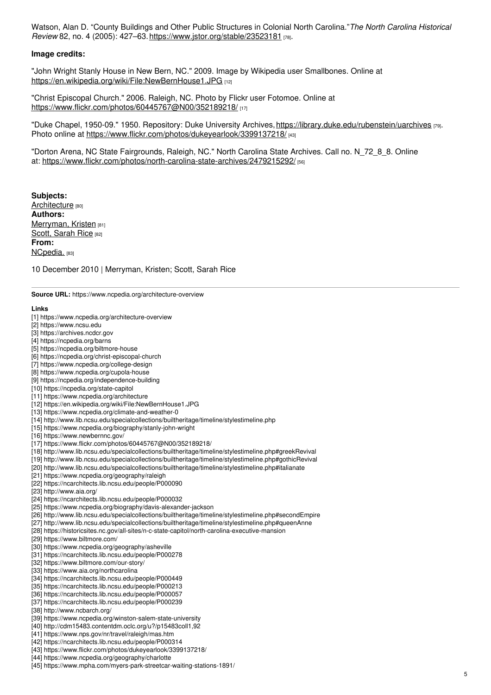Watson, Alan D. "County Buildings and Other Public Structures in Colonial North Carolina."*The North Carolina Historical Review* 82, no. 4 (2005): 427–63. <https://www.jstor.org/stable/23523181> [78].

### **Image credits:**

"John Wright Stanly House in New Bern, NC." 2009. Image by Wikipedia user Smallbones. Online at <https://en.wikipedia.org/wiki/File:NewBernHouse1.JPG> [12]

"Christ Episcopal Church." 2006. Raleigh, NC. Photo by Flickr user Fotomoe. Online at <https://www.flickr.com/photos/60445767@N00/352189218/> [17]

"Duke Chapel, 1950-09." 1950. Repository: Duke University Archives,<https://library.duke.edu/rubenstein/uarchives> [79]. Photo online at <https://www.flickr.com/photos/dukeyearlook/3399137218/> [43]

"Dorton Arena, NC State Fairgrounds, Raleigh, NC." North Carolina State Archives. Call no. N\_72\_8\_8. Online at: <https://www.flickr.com/photos/north-carolina-state-archives/2479215292/> [56]

**Subjects:** [Architecture](https://www.ncpedia.org/category/subjects/architecture) [80] **Authors:** [Merryman,](https://www.ncpedia.org/category/authors/merryman-kristen) Kristen [81] Scott, [Sarah](https://www.ncpedia.org/category/authors/scott-sarah-rice) Rice [82] **From:** [NCpedia.](https://www.ncpedia.org/category/entry-source/ncpedia) [83]

10 December 2010 | Merryman, Kristen; Scott, Sarah Rice

**Source URL:** https://www.ncpedia.org/architecture-overview

#### **Links**

- [1] https://www.ncpedia.org/architecture-overview
- [2] https://www.ncsu.edu
- [3] https://archives.ncdcr.gov
- [4] https://ncpedia.org/barns
- [5] https://ncpedia.org/biltmore-house
- [6] https://ncpedia.org/christ-episcopal-church
- [7] https://www.ncpedia.org/college-design
- [8] https://www.ncpedia.org/cupola-house
- [9] https://ncpedia.org/independence-building
- [10] https://ncpedia.org/state-capitol
- [11] https://www.ncpedia.org/architecture
- [12] https://en.wikipedia.org/wiki/File:NewBernHouse1.JPG
- [13] https://www.ncpedia.org/climate-and-weather-0
- [14] http://www.lib.ncsu.edu/specialcollections/builtheritage/timeline/stylestimeline.php
- [15] https://www.ncpedia.org/biography/stanly-john-wright
- [16] https://www.newbernnc.gov/
- [17] https://www.flickr.com/photos/60445767@N00/352189218/
- [18] http://www.lib.ncsu.edu/specialcollections/builtheritage/timeline/stylestimeline.php#greekRevival
- [19] http://www.lib.ncsu.edu/specialcollections/builtheritage/timeline/stylestimeline.php#gothicRevival
- [20] http://www.lib.ncsu.edu/specialcollections/builtheritage/timeline/stylestimeline.php#italianate
- [21] https://www.ncpedia.org/geography/raleigh
- [22] https://ncarchitects.lib.ncsu.edu/people/P000090
- [23] http://www.aia.org/
- [24] https://ncarchitects.lib.ncsu.edu/people/P000032
- [25] https://www.ncpedia.org/biography/davis-alexander-jackson
- [26] http://www.lib.ncsu.edu/specialcollections/builtheritage/timeline/stylestimeline.php#secondEmpire
- [27] http://www.lib.ncsu.edu/specialcollections/builtheritage/timeline/stylestimeline.php#queenAnne
- [28] https://historicsites.nc.gov/all-sites/n-c-state-capitol/north-carolina-executive-mansion
- [29] https://www.biltmore.com/
- [30] https://www.ncpedia.org/geography/asheville
- [31] https://ncarchitects.lib.ncsu.edu/people/P000278
- [32] https://www.biltmore.com/our-story/
- [33] https://www.aia.org/northcarolina
- [34] https://ncarchitects.lib.ncsu.edu/people/P000449
- [35] https://ncarchitects.lib.ncsu.edu/people/P000213
- [36] https://ncarchitects.lib.ncsu.edu/people/P000057
- [37] https://ncarchitects.lib.ncsu.edu/people/P000239
- [38] http://www.ncbarch.org/
- [39] https://www.ncpedia.org/winston-salem-state-university
- [40] http://cdm15483.contentdm.oclc.org/u?/p15483coll1,92
- [41] https://www.nps.gov/nr/travel/raleigh/mas.htm
- [42] https://ncarchitects.lib.ncsu.edu/people/P000314
- [43] https://www.flickr.com/photos/dukeyearlook/3399137218/
- [44] https://www.ncpedia.org/geography/charlotte
- [45] https://www.mpha.com/myers-park-streetcar-waiting-stations-1891/